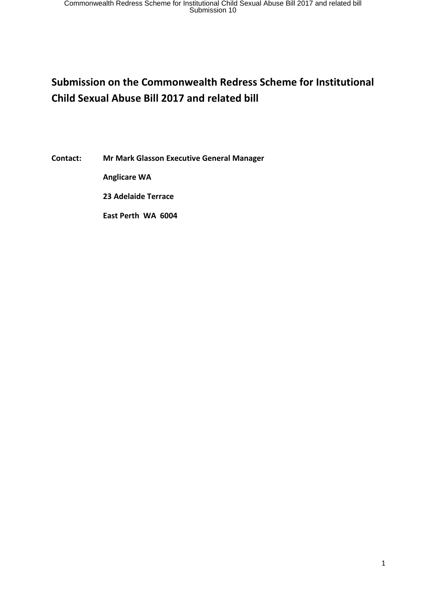# **Submission on the Commonwealth Redress Scheme for Institutional Child Sexual Abuse Bill 2017 and related bill**

**Contact: Mr Mark Glasson Executive General Manager** 

 **Anglicare WA** 

 **23 Adelaide Terrace** 

 **East Perth WA 6004**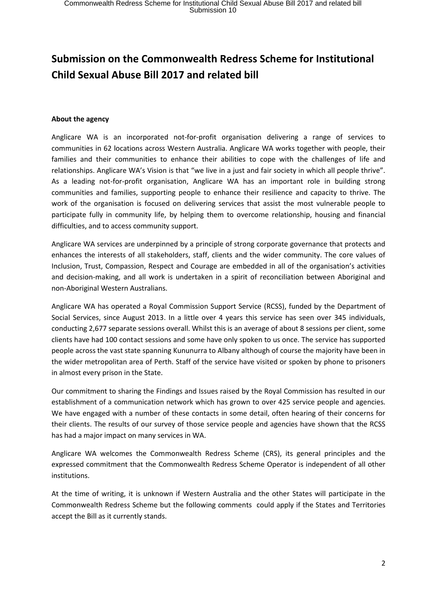# **Submission on the Commonwealth Redress Scheme for Institutional Child Sexual Abuse Bill 2017 and related bill**

#### **About the agency**

Anglicare WA is an incorporated not-for-profit organisation delivering a range of services to communities in 62 locations across Western Australia. Anglicare WA works together with people, their families and their communities to enhance their abilities to cope with the challenges of life and relationships. Anglicare WA's Vision is that "we live in a just and fair society in which all people thrive". As a leading not-for-profit organisation, Anglicare WA has an important role in building strong communities and families, supporting people to enhance their resilience and capacity to thrive. The work of the organisation is focused on delivering services that assist the most vulnerable people to participate fully in community life, by helping them to overcome relationship, housing and financial difficulties, and to access community support.

Anglicare WA services are underpinned by a principle of strong corporate governance that protects and enhances the interests of all stakeholders, staff, clients and the wider community. The core values of Inclusion, Trust, Compassion, Respect and Courage are embedded in all of the organisation's activities and decision-making, and all work is undertaken in a spirit of reconciliation between Aboriginal and non-Aboriginal Western Australians.

Anglicare WA has operated a Royal Commission Support Service (RCSS), funded by the Department of Social Services, since August 2013. In a little over 4 years this service has seen over 345 individuals, conducting 2,677 separate sessions overall. Whilst this is an average of about 8 sessions per client, some clients have had 100 contact sessions and some have only spoken to us once. The service has supported people across the vast state spanning Kununurra to Albany although of course the majority have been in the wider metropolitan area of Perth. Staff of the service have visited or spoken by phone to prisoners in almost every prison in the State.

Our commitment to sharing the Findings and Issues raised by the Royal Commission has resulted in our establishment of a communication network which has grown to over 425 service people and agencies. We have engaged with a number of these contacts in some detail, often hearing of their concerns for their clients. The results of our survey of those service people and agencies have shown that the RCSS has had a major impact on many services in WA.

Anglicare WA welcomes the Commonwealth Redress Scheme (CRS), its general principles and the expressed commitment that the Commonwealth Redress Scheme Operator is independent of all other institutions.

At the time of writing, it is unknown if Western Australia and the other States will participate in the Commonwealth Redress Scheme but the following comments could apply if the States and Territories accept the Bill as it currently stands.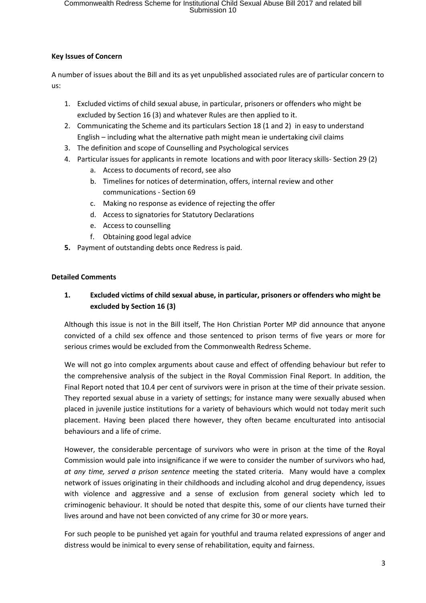#### **Key Issues of Concern**

A number of issues about the Bill and its as yet unpublished associated rules are of particular concern to us:

- 1. Excluded victims of child sexual abuse, in particular, prisoners or offenders who might be excluded by Section 16 (3) and whatever Rules are then applied to it.
- 2. Communicating the Scheme and its particulars Section 18 (1 and 2) in easy to understand English – including what the alternative path might mean ie undertaking civil claims
- 3. The definition and scope of Counselling and Psychological services
- 4. Particular issues for applicants in remote locations and with poor literacy skills- Section 29 (2)
	- a. Access to documents of record, see also
	- b. Timelines for notices of determination, offers, internal review and other communications - Section 69
	- c. Making no response as evidence of rejecting the offer
	- d. Access to signatories for Statutory Declarations
	- e. Access to counselling
	- f. Obtaining good legal advice
- **5.** Payment of outstanding debts once Redress is paid.

#### **Detailed Comments**

### **1. Excluded victims of child sexual abuse, in particular, prisoners or offenders who might be excluded by Section 16 (3)**

Although this issue is not in the Bill itself, The Hon Christian Porter MP did announce that anyone convicted of a child sex offence and those sentenced to prison terms of five years or more for serious crimes would be excluded from the Commonwealth Redress Scheme.

We will not go into complex arguments about cause and effect of offending behaviour but refer to the comprehensive analysis of the subject in the Royal Commission Final Report. In addition, the Final Report noted that 10.4 per cent of survivors were in prison at the time of their private session. They reported sexual abuse in a variety of settings; for instance many were sexually abused when placed in juvenile justice institutions for a variety of behaviours which would not today merit such placement. Having been placed there however, they often became enculturated into antisocial behaviours and a life of crime.

However, the considerable percentage of survivors who were in prison at the time of the Royal Commission would pale into insignificance if we were to consider the number of survivors who had, *at any time, served a prison sentence* meeting the stated criteria. Many would have a complex network of issues originating in their childhoods and including alcohol and drug dependency, issues with violence and aggressive and a sense of exclusion from general society which led to criminogenic behaviour. It should be noted that despite this, some of our clients have turned their lives around and have not been convicted of any crime for 30 or more years.

For such people to be punished yet again for youthful and trauma related expressions of anger and distress would be inimical to every sense of rehabilitation, equity and fairness.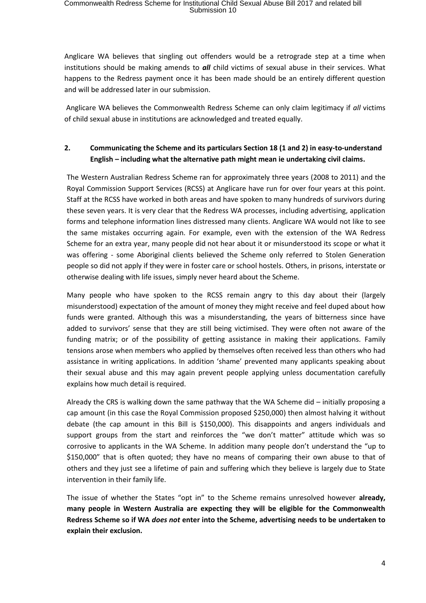Anglicare WA believes that singling out offenders would be a retrograde step at a time when institutions should be making amends to *all* child victims of sexual abuse in their services. What happens to the Redress payment once it has been made should be an entirely different question and will be addressed later in our submission.

Anglicare WA believes the Commonwealth Redress Scheme can only claim legitimacy if *all* victims of child sexual abuse in institutions are acknowledged and treated equally.

## **2. Communicating the Scheme and its particulars Section 18 (1 and 2) in easy-to-understand English – including what the alternative path might mean ie undertaking civil claims.**

The Western Australian Redress Scheme ran for approximately three years (2008 to 2011) and the Royal Commission Support Services (RCSS) at Anglicare have run for over four years at this point. Staff at the RCSS have worked in both areas and have spoken to many hundreds of survivors during these seven years. It is very clear that the Redress WA processes, including advertising, application forms and telephone information lines distressed many clients. Anglicare WA would not like to see the same mistakes occurring again. For example, even with the extension of the WA Redress Scheme for an extra year, many people did not hear about it or misunderstood its scope or what it was offering - some Aboriginal clients believed the Scheme only referred to Stolen Generation people so did not apply if they were in foster care or school hostels. Others, in prisons, interstate or otherwise dealing with life issues, simply never heard about the Scheme.

Many people who have spoken to the RCSS remain angry to this day about their (largely misunderstood) expectation of the amount of money they might receive and feel duped about how funds were granted. Although this was a misunderstanding, the years of bitterness since have added to survivors' sense that they are still being victimised. They were often not aware of the funding matrix; or of the possibility of getting assistance in making their applications. Family tensions arose when members who applied by themselves often received less than others who had assistance in writing applications. In addition 'shame' prevented many applicants speaking about their sexual abuse and this may again prevent people applying unless documentation carefully explains how much detail is required.

Already the CRS is walking down the same pathway that the WA Scheme did – initially proposing a cap amount (in this case the Royal Commission proposed \$250,000) then almost halving it without debate (the cap amount in this Bill is \$150,000). This disappoints and angers individuals and support groups from the start and reinforces the "we don't matter" attitude which was so corrosive to applicants in the WA Scheme. In addition many people don't understand the "up to \$150,000" that is often quoted; they have no means of comparing their own abuse to that of others and they just see a lifetime of pain and suffering which they believe is largely due to State intervention in their family life.

The issue of whether the States "opt in" to the Scheme remains unresolved however **already, many people in Western Australia are expecting they will be eligible for the Commonwealth Redress Scheme so if WA** *does not* **enter into the Scheme, advertising needs to be undertaken to explain their exclusion.**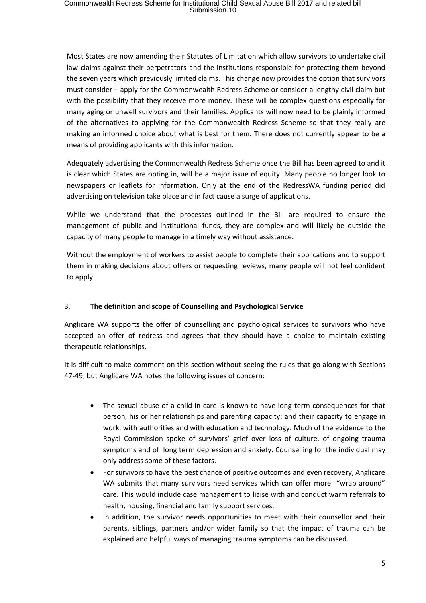Most States are now amending their Statutes of Limitation which allow survivors to undertake civil law claims against their perpetrators and the institutions responsible for protecting them beyond the seven years which previously limited claims. This change now provides the option that survivors must consider – apply for the Commonwealth Redress Scheme or consider a lengthy civil claim but with the possibility that they receive more money. These will be complex questions especially for many aging or unwell survivors and their families. Applicants will now need to be plainly informed of the alternatives to applying for the Commonwealth Redress Scheme so that they really are making an informed choice about what is best for them. There does not currently appear to be a means of providing applicants with this information.

Adequately advertising the Commonwealth Redress Scheme once the Bill has been agreed to and it is clear which States are opting in, will be a major issue of equity. Many people no longer look to newspapers or leaflets for information. Only at the end of the RedressWA funding period did advertising on television take place and in fact cause a surge of applications.

While we understand that the processes outlined in the Bill are required to ensure the management of public and institutional funds, they are complex and will likely be outside the capacity of many people to manage in a timely way without assistance.

Without the employment of workers to assist people to complete their applications and to support them in making decisions about offers or requesting reviews, many people will not feel confident to apply.

#### 3. **The definition and scope of Counselling and Psychological Service**

Anglicare WA supports the offer of counselling and psychological services to survivors who have accepted an offer of redress and agrees that they should have a choice to maintain existing therapeutic relationships.

It is difficult to make comment on this section without seeing the rules that go along with Sections 47-49, but Anglicare WA notes the following issues of concern:

- The sexual abuse of a child in care is known to have long term consequences for that person, his or her relationships and parenting capacity; and their capacity to engage in work, with authorities and with education and technology. Much of the evidence to the Royal Commission spoke of survivors' grief over loss of culture, of ongoing trauma symptoms and of long term depression and anxiety. Counselling for the individual may only address some of these factors.
- For survivors to have the best chance of positive outcomes and even recovery, Anglicare WA submits that many survivors need services which can offer more "wrap around" care. This would include case management to liaise with and conduct warm referrals to health, housing, financial and family support services.
- In addition, the survivor needs opportunities to meet with their counsellor and their parents, siblings, partners and/or wider family so that the impact of trauma can be explained and helpful ways of managing trauma symptoms can be discussed.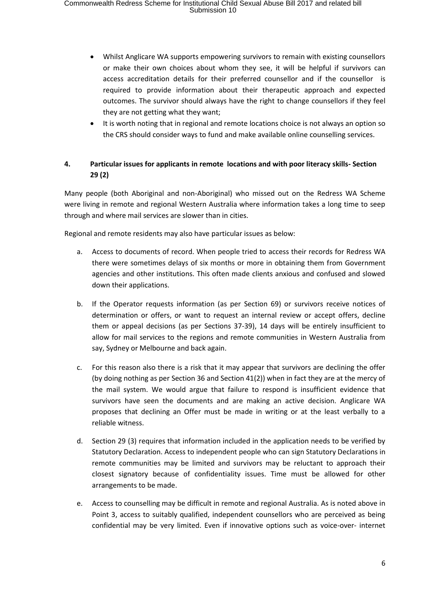- Whilst Anglicare WA supports empowering survivors to remain with existing counsellors or make their own choices about whom they see, it will be helpful if survivors can access accreditation details for their preferred counsellor and if the counsellor is required to provide information about their therapeutic approach and expected outcomes. The survivor should always have the right to change counsellors if they feel they are not getting what they want;
- It is worth noting that in regional and remote locations choice is not always an option so the CRS should consider ways to fund and make available online counselling services.

## **4. Particular issues for applicants in remote locations and with poor literacy skills- Section 29 (2)**

Many people (both Aboriginal and non-Aboriginal) who missed out on the Redress WA Scheme were living in remote and regional Western Australia where information takes a long time to seep through and where mail services are slower than in cities.

Regional and remote residents may also have particular issues as below:

- a. Access to documents of record. When people tried to access their records for Redress WA there were sometimes delays of six months or more in obtaining them from Government agencies and other institutions. This often made clients anxious and confused and slowed down their applications.
- b. If the Operator requests information (as per Section 69) or survivors receive notices of determination or offers, or want to request an internal review or accept offers, decline them or appeal decisions (as per Sections 37-39), 14 days will be entirely insufficient to allow for mail services to the regions and remote communities in Western Australia from say, Sydney or Melbourne and back again.
- c. For this reason also there is a risk that it may appear that survivors are declining the offer (by doing nothing as per Section 36 and Section 41(2)) when in fact they are at the mercy of the mail system. We would argue that failure to respond is insufficient evidence that survivors have seen the documents and are making an active decision. Anglicare WA proposes that declining an Offer must be made in writing or at the least verbally to a reliable witness.
- d. Section 29 (3) requires that information included in the application needs to be verified by Statutory Declaration. Access to independent people who can sign Statutory Declarations in remote communities may be limited and survivors may be reluctant to approach their closest signatory because of confidentiality issues. Time must be allowed for other arrangements to be made.
- e. Access to counselling may be difficult in remote and regional Australia. As is noted above in Point 3, access to suitably qualified, independent counsellors who are perceived as being confidential may be very limited. Even if innovative options such as voice-over- internet